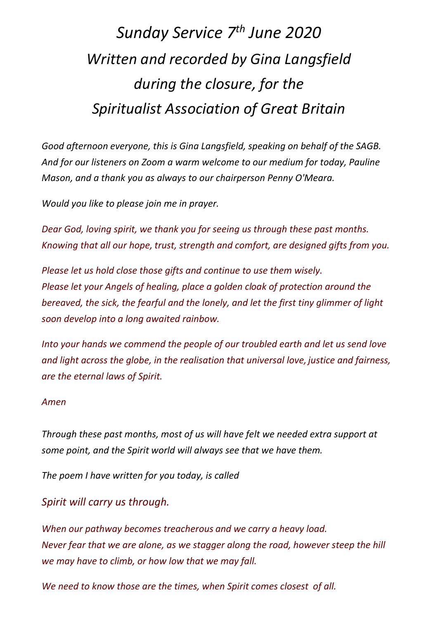## *Sunday Service 7th June 2020 Written and recorded by Gina Langsfield during the closure, for the Spiritualist Association of Great Britain*

*Good afternoon everyone, this is Gina Langsfield, speaking on behalf of the SAGB. And for our listeners on Zoom a warm welcome to our medium for today, Pauline Mason, and a thank you as always to our chairperson Penny O'Meara.*

*Would you like to please join me in prayer.*

*Dear God, loving spirit, we thank you for seeing us through these past months. Knowing that all our hope, trust, strength and comfort, are designed gifts from you.*

*Please let us hold close those gifts and continue to use them wisely. Please let your Angels of healing, place a golden cloak of protection around the bereaved, the sick, the fearful and the lonely, and let the first tiny glimmer of light soon develop into a long awaited rainbow.*

*Into your hands we commend the people of our troubled earth and let us send love and light across the globe, in the realisation that universal love, justice and fairness, are the eternal laws of Spirit.*

## *Amen*

*Through these past months, most of us will have felt we needed extra support at some point, and the Spirit world will always see that we have them.* 

*The poem I have written for you today, is called* 

*Spirit will carry us through.*

*When our pathway becomes treacherous and we carry a heavy load. Never fear that we are alone, as we stagger along the road, however steep the hill we may have to climb, or how low that we may fall.*

*We need to know those are the times, when Spirit comes closest of all.*